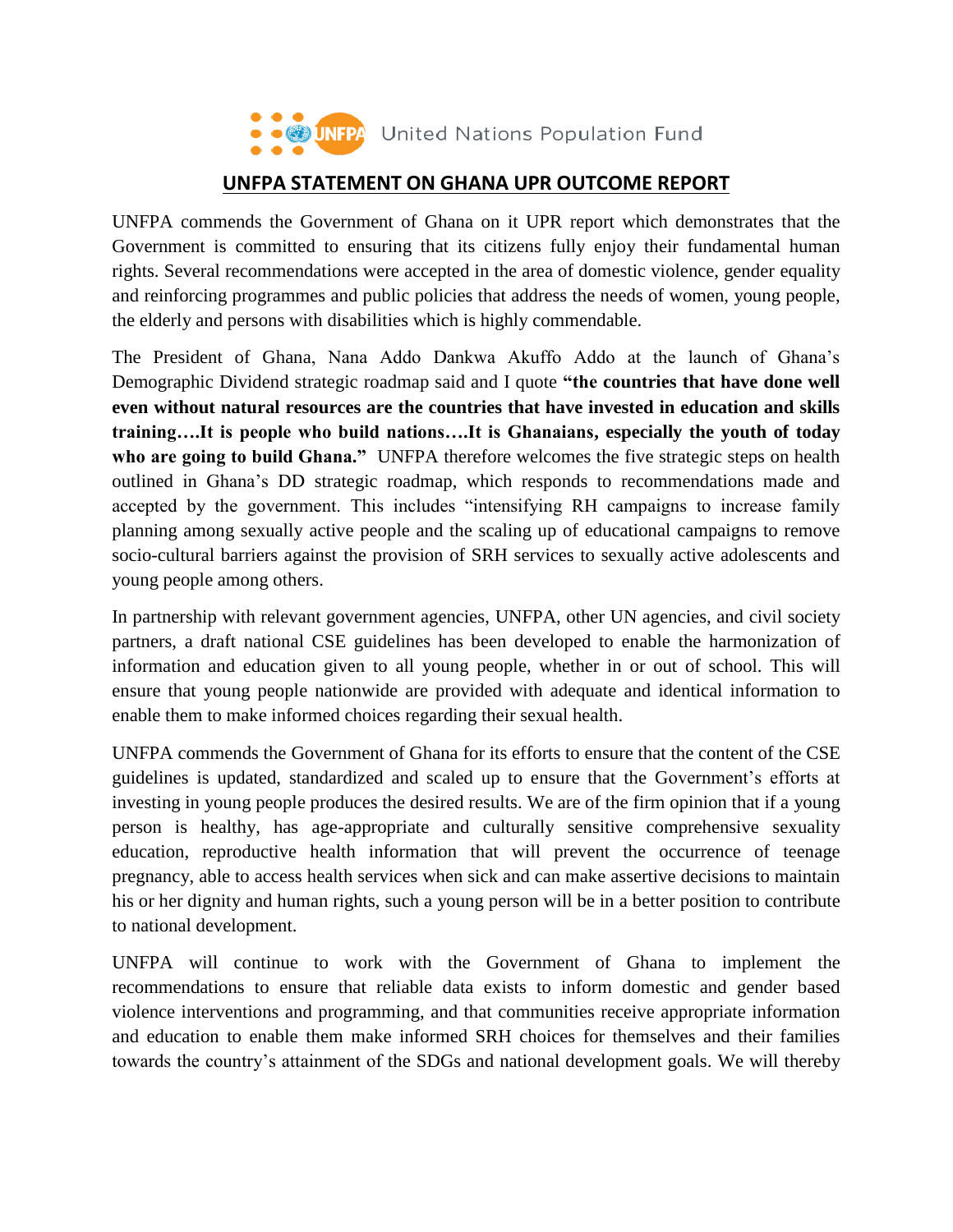

## **UNFPA STATEMENT ON GHANA UPR OUTCOME REPORT**

UNFPA commends the Government of Ghana on it UPR report which demonstrates that the Government is committed to ensuring that its citizens fully enjoy their fundamental human rights. Several recommendations were accepted in the area of domestic violence, gender equality and reinforcing programmes and public policies that address the needs of women, young people, the elderly and persons with disabilities which is highly commendable.

The President of Ghana, Nana Addo Dankwa Akuffo Addo at the launch of Ghana's Demographic Dividend strategic roadmap said and I quote **"the countries that have done well even without natural resources are the countries that have invested in education and skills training….It is people who build nations….It is Ghanaians, especially the youth of today who are going to build Ghana."** UNFPA therefore welcomes the five strategic steps on health outlined in Ghana's DD strategic roadmap, which responds to recommendations made and accepted by the government. This includes "intensifying RH campaigns to increase family planning among sexually active people and the scaling up of educational campaigns to remove socio-cultural barriers against the provision of SRH services to sexually active adolescents and young people among others.

In partnership with relevant government agencies, UNFPA, other UN agencies, and civil society partners, a draft national CSE guidelines has been developed to enable the harmonization of information and education given to all young people, whether in or out of school. This will ensure that young people nationwide are provided with adequate and identical information to enable them to make informed choices regarding their sexual health.

UNFPA commends the Government of Ghana for its efforts to ensure that the content of the CSE guidelines is updated, standardized and scaled up to ensure that the Government's efforts at investing in young people produces the desired results. We are of the firm opinion that if a young person is healthy, has age-appropriate and culturally sensitive comprehensive sexuality education, reproductive health information that will prevent the occurrence of teenage pregnancy, able to access health services when sick and can make assertive decisions to maintain his or her dignity and human rights, such a young person will be in a better position to contribute to national development.

UNFPA will continue to work with the Government of Ghana to implement the recommendations to ensure that reliable data exists to inform domestic and gender based violence interventions and programming, and that communities receive appropriate information and education to enable them make informed SRH choices for themselves and their families towards the country's attainment of the SDGs and national development goals. We will thereby